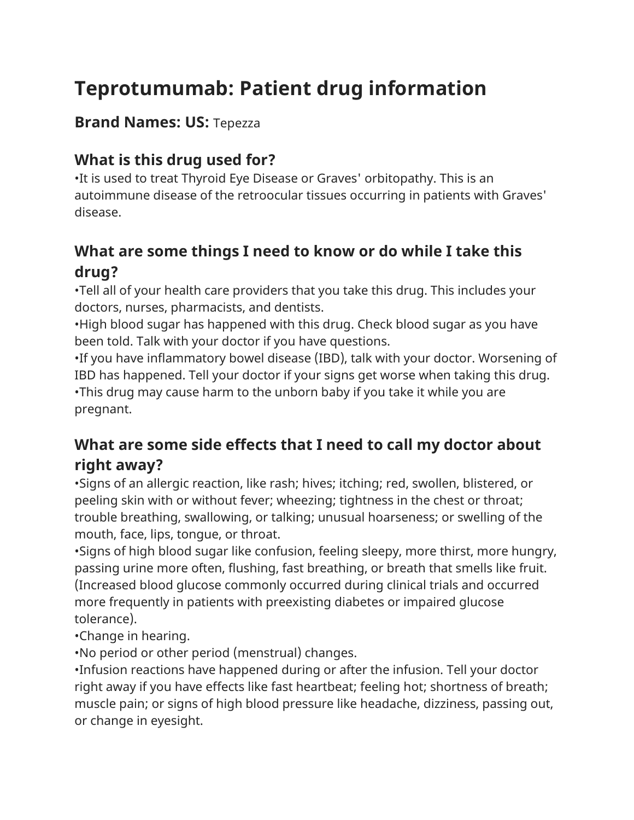# **Teprotumumab: Patient drug information**

#### **Brand Names: US:** Tepezza

## **What is this drug used for?**

•It is used to treat Thyroid Eye Disease or Graves' orbitopathy. This is an autoimmune disease of the retroocular tissues occurring in patients with Graves' disease.

## **What are some things I need to know or do while I take this drug?**

•Tell all of your health care providers that you take this drug. This includes your doctors, nurses, pharmacists, and dentists.

•High blood sugar has happened with this drug. Check blood sugar as you have been told. Talk with your doctor if you have questions.

•If you have inflammatory bowel disease (IBD), talk with your doctor. Worsening of IBD has happened. Tell your doctor if your signs get worse when taking this drug. •This drug may cause harm to the unborn baby if you take it while you are pregnant.

## **What are some side effects that I need to call my doctor about right away?**

•Signs of an allergic reaction, like rash; hives; itching; red, swollen, blistered, or peeling skin with or without fever; wheezing; tightness in the chest or throat; trouble breathing, swallowing, or talking; unusual hoarseness; or swelling of the mouth, face, lips, tongue, or throat.

•Signs of high blood sugar like confusion, feeling sleepy, more thirst, more hungry, passing urine more often, flushing, fast breathing, or breath that smells like fruit. (Increased blood glucose commonly occurred during clinical trials and occurred more frequently in patients with preexisting diabetes or impaired glucose tolerance).

•Change in hearing.

•No period or other period (menstrual) changes.

•Infusion reactions have happened during or after the infusion. Tell your doctor right away if you have effects like fast heartbeat; feeling hot; shortness of breath; muscle pain; or signs of high blood pressure like headache, dizziness, passing out, or change in eyesight.